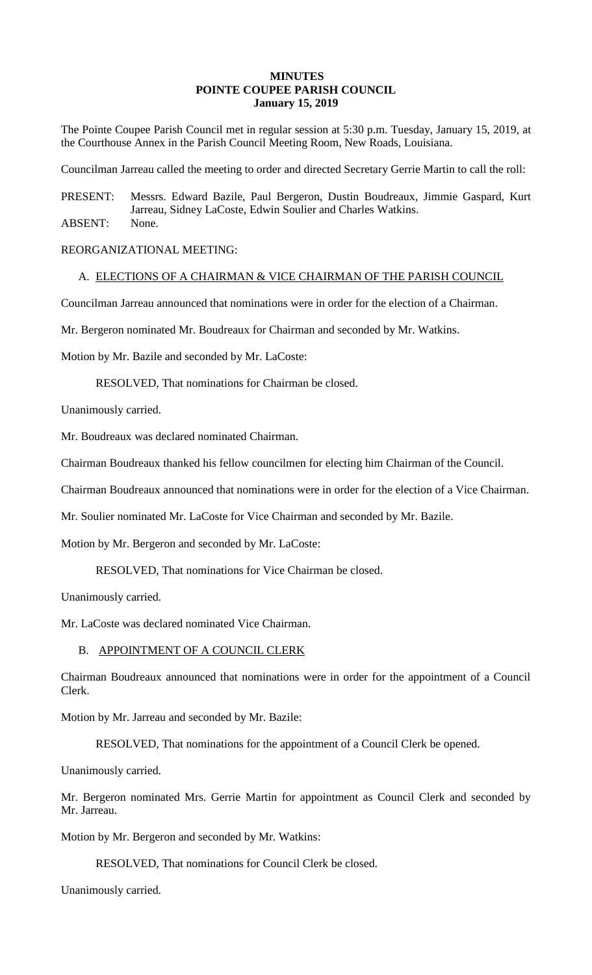# **MINUTES POINTE COUPEE PARISH COUNCIL January 15, 2019**

The Pointe Coupee Parish Council met in regular session at 5:30 p.m. Tuesday, January 15, 2019, at the Courthouse Annex in the Parish Council Meeting Room, New Roads, Louisiana.

Councilman Jarreau called the meeting to order and directed Secretary Gerrie Martin to call the roll:

PRESENT: Messrs. Edward Bazile, Paul Bergeron, Dustin Boudreaux, Jimmie Gaspard, Kurt Jarreau, Sidney LaCoste, Edwin Soulier and Charles Watkins. ABSENT: None.

REORGANIZATIONAL MEETING:

### A. ELECTIONS OF A CHAIRMAN & VICE CHAIRMAN OF THE PARISH COUNCIL

Councilman Jarreau announced that nominations were in order for the election of a Chairman.

Mr. Bergeron nominated Mr. Boudreaux for Chairman and seconded by Mr. Watkins.

Motion by Mr. Bazile and seconded by Mr. LaCoste:

RESOLVED, That nominations for Chairman be closed.

Unanimously carried.

Mr. Boudreaux was declared nominated Chairman.

Chairman Boudreaux thanked his fellow councilmen for electing him Chairman of the Council.

Chairman Boudreaux announced that nominations were in order for the election of a Vice Chairman.

Mr. Soulier nominated Mr. LaCoste for Vice Chairman and seconded by Mr. Bazile.

Motion by Mr. Bergeron and seconded by Mr. LaCoste:

RESOLVED, That nominations for Vice Chairman be closed.

Unanimously carried.

Mr. LaCoste was declared nominated Vice Chairman.

### B. APPOINTMENT OF A COUNCIL CLERK

Chairman Boudreaux announced that nominations were in order for the appointment of a Council Clerk.

Motion by Mr. Jarreau and seconded by Mr. Bazile:

RESOLVED, That nominations for the appointment of a Council Clerk be opened.

Unanimously carried.

Mr. Bergeron nominated Mrs. Gerrie Martin for appointment as Council Clerk and seconded by Mr. Jarreau.

Motion by Mr. Bergeron and seconded by Mr. Watkins:

RESOLVED, That nominations for Council Clerk be closed.

Unanimously carried.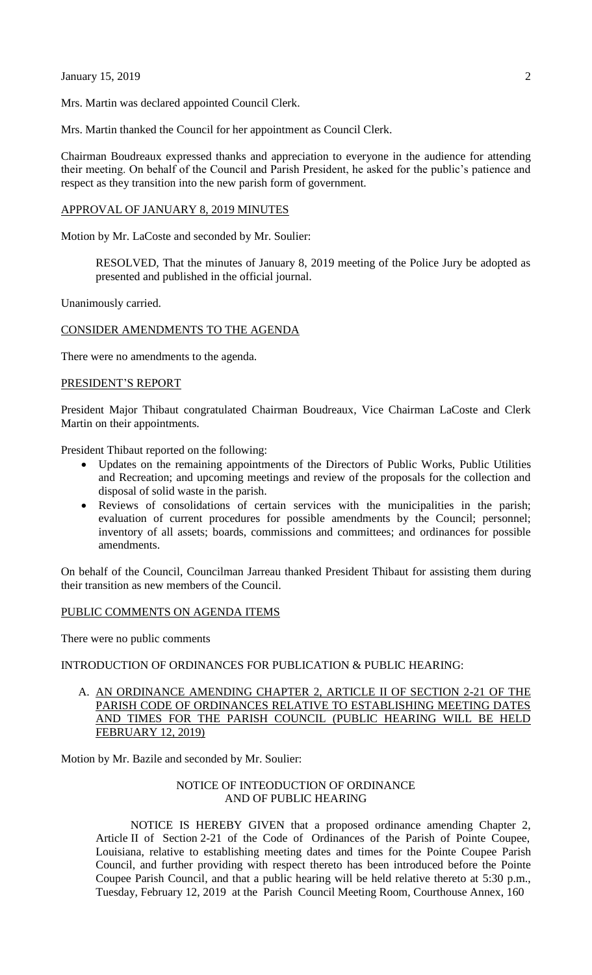**January 15, 2019** 2

Mrs. Martin was declared appointed Council Clerk.

Mrs. Martin thanked the Council for her appointment as Council Clerk.

Chairman Boudreaux expressed thanks and appreciation to everyone in the audience for attending their meeting. On behalf of the Council and Parish President, he asked for the public's patience and respect as they transition into the new parish form of government.

#### APPROVAL OF JANUARY 8, 2019 MINUTES

Motion by Mr. LaCoste and seconded by Mr. Soulier:

RESOLVED, That the minutes of January 8, 2019 meeting of the Police Jury be adopted as presented and published in the official journal.

Unanimously carried.

### CONSIDER AMENDMENTS TO THE AGENDA

There were no amendments to the agenda.

### PRESIDENT'S REPORT

President Major Thibaut congratulated Chairman Boudreaux, Vice Chairman LaCoste and Clerk Martin on their appointments.

President Thibaut reported on the following:

- Updates on the remaining appointments of the Directors of Public Works, Public Utilities and Recreation; and upcoming meetings and review of the proposals for the collection and disposal of solid waste in the parish.
- Reviews of consolidations of certain services with the municipalities in the parish; evaluation of current procedures for possible amendments by the Council; personnel; inventory of all assets; boards, commissions and committees; and ordinances for possible amendments.

On behalf of the Council, Councilman Jarreau thanked President Thibaut for assisting them during their transition as new members of the Council.

#### PUBLIC COMMENTS ON AGENDA ITEMS

There were no public comments

## INTRODUCTION OF ORDINANCES FOR PUBLICATION & PUBLIC HEARING:

A. AN ORDINANCE AMENDING CHAPTER 2, ARTICLE II OF SECTION 2-21 OF THE PARISH CODE OF ORDINANCES RELATIVE TO ESTABLISHING MEETING DATES AND TIMES FOR THE PARISH COUNCIL (PUBLIC HEARING WILL BE HELD FEBRUARY 12, 2019)

Motion by Mr. Bazile and seconded by Mr. Soulier:

## NOTICE OF INTEODUCTION OF ORDINANCE AND OF PUBLIC HEARING

NOTICE IS HEREBY GIVEN that a proposed ordinance amending Chapter 2, Article II of Section 2-21 of the Code of Ordinances of the Parish of Pointe Coupee, Louisiana, relative to establishing meeting dates and times for the Pointe Coupee Parish Council, and further providing with respect thereto has been introduced before the Pointe Coupee Parish Council, and that a public hearing will be held relative thereto at 5:30 p.m., Tuesday, February 12, 2019 at the Parish Council Meeting Room, Courthouse Annex, 160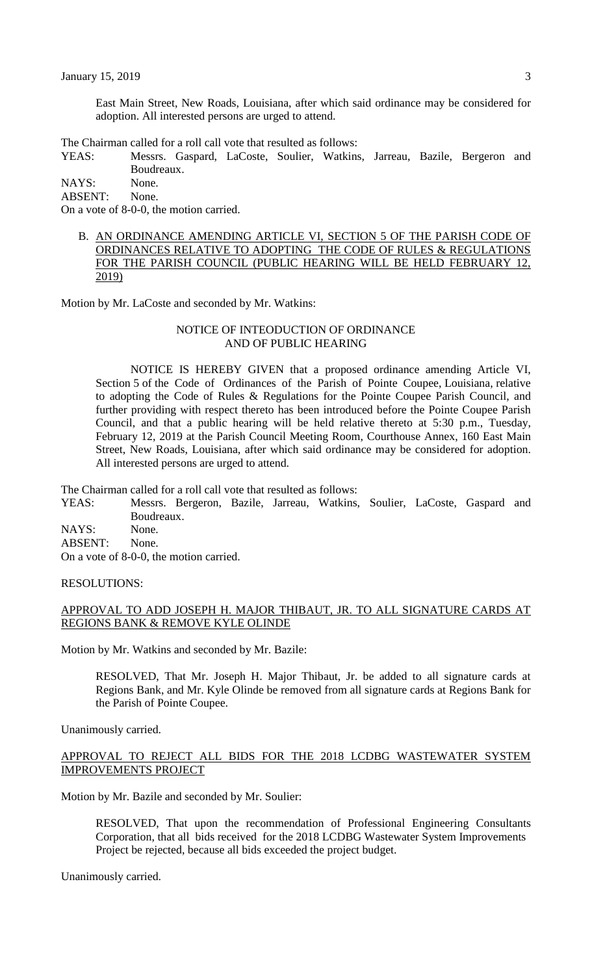East Main Street, New Roads, Louisiana, after which said ordinance may be considered for adoption. All interested persons are urged to attend.

The Chairman called for a roll call vote that resulted as follows:

YEAS: Messrs. Gaspard, LaCoste, Soulier, Watkins, Jarreau, Bazile, Bergeron and Boudreaux.

NAYS: None.

ABSENT: None.

On a vote of 8-0-0, the motion carried.

B. AN ORDINANCE AMENDING ARTICLE VI, SECTION 5 OF THE PARISH CODE OF ORDINANCES RELATIVE TO ADOPTING THE CODE OF RULES & REGULATIONS FOR THE PARISH COUNCIL (PUBLIC HEARING WILL BE HELD FEBRUARY 12, 2019)

Motion by Mr. LaCoste and seconded by Mr. Watkins:

#### NOTICE OF INTEODUCTION OF ORDINANCE AND OF PUBLIC HEARING

NOTICE IS HEREBY GIVEN that a proposed ordinance amending Article VI, Section 5 of the Code of Ordinances of the Parish of Pointe Coupee, Louisiana, relative to adopting the Code of Rules & Regulations for the Pointe Coupee Parish Council, and further providing with respect thereto has been introduced before the Pointe Coupee Parish Council, and that a public hearing will be held relative thereto at 5:30 p.m., Tuesday, February 12, 2019 at the Parish Council Meeting Room, Courthouse Annex, 160 East Main Street, New Roads, Louisiana, after which said ordinance may be considered for adoption. All interested persons are urged to attend.

The Chairman called for a roll call vote that resulted as follows:

YEAS: Messrs. Bergeron, Bazile, Jarreau, Watkins, Soulier, LaCoste, Gaspard and Boudreaux.

NAYS: None.

ABSENT: None.

On a vote of 8-0-0, the motion carried.

### RESOLUTIONS:

# APPROVAL TO ADD JOSEPH H. MAJOR THIBAUT, JR. TO ALL SIGNATURE CARDS AT REGIONS BANK & REMOVE KYLE OLINDE

Motion by Mr. Watkins and seconded by Mr. Bazile:

RESOLVED, That Mr. Joseph H. Major Thibaut, Jr. be added to all signature cards at Regions Bank, and Mr. Kyle Olinde be removed from all signature cards at Regions Bank for the Parish of Pointe Coupee.

Unanimously carried.

## APPROVAL TO REJECT ALL BIDS FOR THE 2018 LCDBG WASTEWATER SYSTEM IMPROVEMENTS PROJECT

Motion by Mr. Bazile and seconded by Mr. Soulier:

RESOLVED, That upon the recommendation of Professional Engineering Consultants Corporation, that all bids received for the 2018 LCDBG Wastewater System Improvements Project be rejected, because all bids exceeded the project budget.

Unanimously carried.